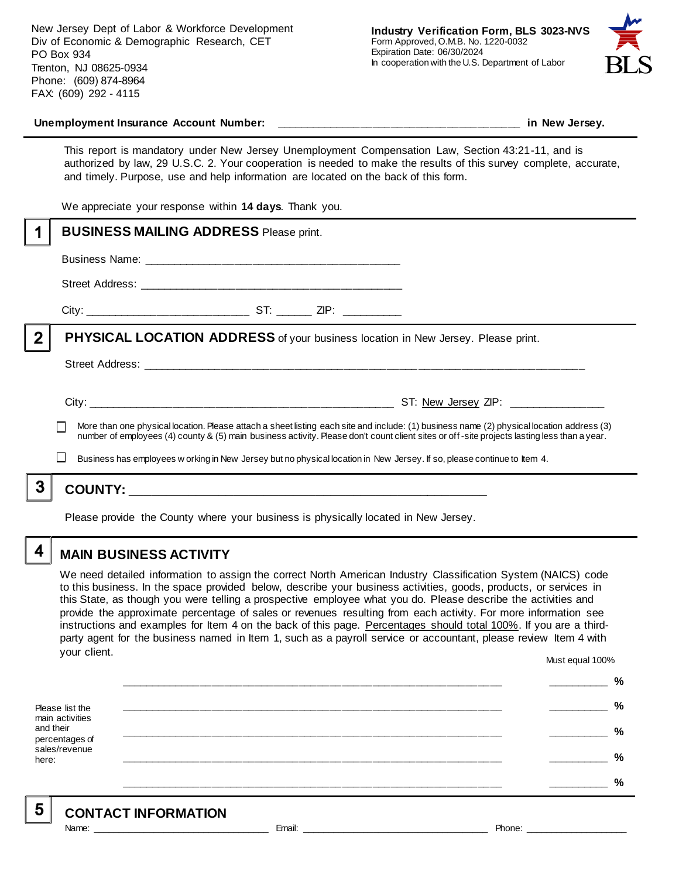New Jersey Dept of Labor & Workforce Development Div of Economic & Demographic Research, CET PO Box 934 Trenton, NJ 08625-0934 Phone: (609) 874-8964 FAX: (609) 292 - 4115



#### Unemployment Insurance Account Number: **with a set of the set of the set of the set of the set of the set of the set of the set of the set of the set of the set of the set of the set of the set of the set of the set of the**

This report is mandatory under New Jersey Unemployment Compensation Law, Section 43:21-11, and is authorized by law, 29 U.S.C. 2. Your cooperation is needed to make the results of this survey complete, accurate, and timely. Purpose, use and help information are located on the back of this form.

We appreciate your response within **14 days**. Thank you.

|                                                                                                                                                                                                                                                                                          | <b>BUSINESS MAILING ADDRESS Please print.</b>                                                                           |  |  |  |  |
|------------------------------------------------------------------------------------------------------------------------------------------------------------------------------------------------------------------------------------------------------------------------------------------|-------------------------------------------------------------------------------------------------------------------------|--|--|--|--|
|                                                                                                                                                                                                                                                                                          |                                                                                                                         |  |  |  |  |
|                                                                                                                                                                                                                                                                                          |                                                                                                                         |  |  |  |  |
|                                                                                                                                                                                                                                                                                          |                                                                                                                         |  |  |  |  |
| $\overline{2}$                                                                                                                                                                                                                                                                           | PHYSICAL LOCATION ADDRESS of your business location in New Jersey. Please print.                                        |  |  |  |  |
|                                                                                                                                                                                                                                                                                          |                                                                                                                         |  |  |  |  |
|                                                                                                                                                                                                                                                                                          |                                                                                                                         |  |  |  |  |
| More than one physical location. Please attach a sheet listing each site and include: (1) business name (2) physical location address (3)<br>number of employees (4) county & (5) main business activity. Please don't count client sites or off-site projects lasting less than a year. |                                                                                                                         |  |  |  |  |
|                                                                                                                                                                                                                                                                                          | Business has employees w orking in New Jersey but no physical location in New Jersey. If so, please continue to Item 4. |  |  |  |  |
| 3                                                                                                                                                                                                                                                                                        |                                                                                                                         |  |  |  |  |
|                                                                                                                                                                                                                                                                                          | Please provide the County where your business is physically located in New Jersey.                                      |  |  |  |  |

**MAIN BUSINESS ACTIVITY**

We need detailed information to assign the correct North American Industry Classification System (NAICS) code to this business. In the space provided below, describe your business activities, goods, products, or services in this State, as though you were telling a prospective employee what you do. Please describe the activities and provide the approximate percentage of sales or revenues resulting from each activity. For more information see instructions and examples for Item 4 on the back of this page. Percentages should total 100%. If you are a thirdparty agent for the business named in Item 1, such as a payroll service or accountant, please review Item 4 with your client. Must equal 100%

Please list the main activities and their percentages of sales/revenue here: **\_\_\_\_\_\_\_\_\_\_\_\_\_\_\_\_\_\_\_\_\_\_\_\_\_\_\_\_\_\_\_\_\_\_\_\_\_\_\_\_\_\_\_\_\_\_\_\_\_\_\_\_\_\_\_\_\_\_\_\_\_\_ \_\_\_\_\_\_\_\_\_\_ % \_\_\_\_\_\_\_\_\_\_\_\_\_\_\_\_\_\_\_\_\_\_\_\_\_\_\_\_\_\_\_\_\_\_\_\_\_\_\_\_\_\_\_\_\_\_\_\_\_\_\_\_\_\_\_\_\_\_\_\_\_\_ \_\_\_\_\_\_\_\_\_\_ % \_\_\_\_\_\_\_\_\_\_\_\_\_\_\_\_\_\_\_\_\_\_\_\_\_\_\_\_\_\_\_\_\_\_\_\_\_\_\_\_\_\_\_\_\_\_\_\_\_\_\_\_\_\_\_\_\_\_\_\_\_\_ \_\_\_\_\_\_\_\_\_\_ % \_\_\_\_\_\_\_\_\_\_\_\_\_\_\_\_\_\_\_\_\_\_\_\_\_\_\_\_\_\_\_\_\_\_\_\_\_\_\_\_\_\_\_\_\_\_\_\_\_\_\_\_\_\_\_\_\_\_\_\_\_\_ \_\_\_\_\_\_\_\_\_\_ % \_\_\_\_\_\_\_\_\_\_\_\_\_\_\_\_\_\_\_\_\_\_\_\_\_\_\_\_\_\_\_\_\_\_\_\_\_\_\_\_\_\_\_\_\_\_\_\_\_\_\_\_\_\_\_\_\_\_\_\_\_\_ \_\_\_\_\_\_\_\_\_\_ %**

5

4